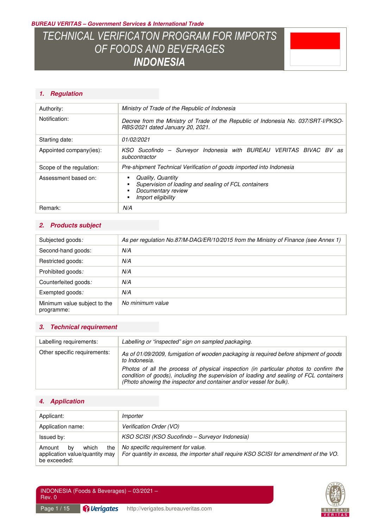**BUREAU VERITAS – Government Services & International Trade** 

# *TECHNICAL VERIFICATON PROGRAM FOR IMPORTS OF FOODS AND BEVERAGES INDONESIA*



### **1. Regulation**

| Authority:               | Ministry of Trade of the Republic of Indonesia                                                                         |  |
|--------------------------|------------------------------------------------------------------------------------------------------------------------|--|
| Notification:            | Decree from the Ministry of Trade of the Republic of Indonesia No. 037/SRT-I/PKSO-<br>RBS/2021 dated January 20, 2021. |  |
| Starting date:           | 01/02/2021                                                                                                             |  |
| Appointed company(ies):  | KSO Sucofindo - Surveyor Indonesia with BUREAU VERITAS BIVAC BV<br>as<br>subcontractor                                 |  |
| Scope of the regulation: | Pre-shipment Technical Verification of goods imported into Indonesia                                                   |  |
| Assessment based on:     | Quality, Quantity<br>Supervision of loading and sealing of FCL containers<br>Documentary review<br>Import eligibility  |  |
| Remark:                  | N/A                                                                                                                    |  |

### **2. Products subject**

| Subjected goods:                           | As per regulation No.87/M-DAG/ER/10/2015 from the Ministry of Finance (see Annex 1) |
|--------------------------------------------|-------------------------------------------------------------------------------------|
| Second-hand goods:                         | N/A                                                                                 |
| Restricted goods:                          | N/A                                                                                 |
| Prohibited goods:                          | N/A                                                                                 |
| Counterfeited goods:                       | N/A                                                                                 |
| Exempted goods:                            | N/A                                                                                 |
| Minimum value subject to the<br>programme: | No minimum value                                                                    |

### **3. Technical requirement**

| Labelling requirements:      | Labelling or "inspected" sign on sampled packaging.                                                                                                                                                                                                                                                                                                               |
|------------------------------|-------------------------------------------------------------------------------------------------------------------------------------------------------------------------------------------------------------------------------------------------------------------------------------------------------------------------------------------------------------------|
| Other specific requirements: | As of 01/09/2009, fumigation of wooden packaging is required before shipment of goods<br>to Indonesia.<br>Photos of all the process of physical inspection (in particular photos to confirm the<br>condition of goods), including the supervision of loading and sealing of FCL containers<br>(Photo showing the inspector and container and/or vessel for bulk). |

### **4. Application**

| Applicant:                                                                     | Importer                                                                                                                    |
|--------------------------------------------------------------------------------|-----------------------------------------------------------------------------------------------------------------------------|
| Application name:                                                              | Verification Order (VO)                                                                                                     |
| Issued by:                                                                     | KSO SCISI (KSO Sucofindo – Surveyor Indonesia)                                                                              |
| which<br>the<br>Amount<br>bv<br>application value/quantity may<br>be exceeded: | No specific requirement for value.<br>For quantity in excess, the importer shall require KSO SCISI for amendment of the VO. |

INDONESIA (Foods & Beverages) – 03/2021 – Rev. 0

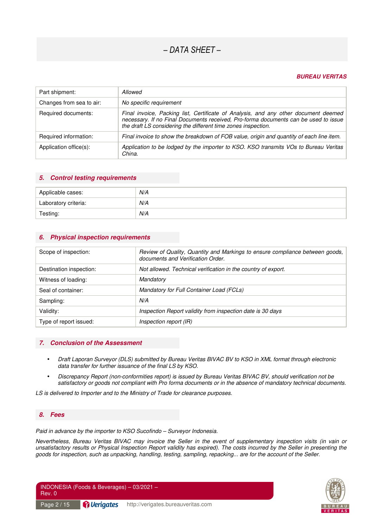#### **BUREAU VERITAS**

| Part shipment:           | Allowed                                                                                                                                                                                                                                     |
|--------------------------|---------------------------------------------------------------------------------------------------------------------------------------------------------------------------------------------------------------------------------------------|
| Changes from sea to air: | No specific requirement                                                                                                                                                                                                                     |
| Required documents:      | Final invoice, Packing list, Certificate of Analysis, and any other document deemed<br>necessary. If no Final Documents received, Pro-forma documents can be used to issue<br>the draft LS considering the different time zones inspection. |
| Required information:    | Final invoice to show the breakdown of FOB value, origin and quantity of each line item.                                                                                                                                                    |
| Application office(s):   | Application to be lodged by the importer to KSO. KSO transmits VOs to Bureau Veritas<br>China.                                                                                                                                              |

#### **5. Control testing requirements**

**6. Physical inspection requirements** 

| Applicable cases:    | N/A |
|----------------------|-----|
| Laboratory criteria: | N/A |
| Testing:             | N/A |

| Scope of inspection:    | Review of Quality, Quantity and Markings to ensure compliance between goods,<br>documents and Verification Order. |
|-------------------------|-------------------------------------------------------------------------------------------------------------------|
| Destination inspection: | Not allowed. Technical verification in the country of export.                                                     |
| Witness of loading:     | Mandatory                                                                                                         |
| Seal of container:      | Mandatory for Full Container Load (FCLs)                                                                          |
| Sampling:               | N/A                                                                                                               |
| Validity:               | Inspection Report validity from inspection date is 30 days                                                        |
| Type of report issued:  | Inspection report (IR)                                                                                            |

#### **7. Conclusion of the Assessment**

- *Draft Laporan Surveyor (DLS) submitted by Bureau Veritas BIVAC BV to KSO in XML format through electronic data transfer for further issuance of the final LS by KSO.*
- *Discrepancy Report (non-conformities report) is issued by Bureau Veritas BIVAC BV, should verification not be satisfactory or goods not compliant with Pro forma documents or in the absence of mandatory technical documents.*

*LS is delivered to Importer and to the Ministry of Trade for clearance purposes.* 

#### **8. Fees**

*Paid in advance by the importer to KSO Sucofindo – Surveyor Indonesia.* 

*Nevertheless, Bureau Veritas BIVAC may invoice the Seller in the event of supplementary inspection visits (in vain or unsatisfactory results or Physical Inspection Report validity has expired). The costs incurred by the Seller in presenting the goods for inspection, such as unpacking, handling, testing, sampling, repacking... are for the account of the Seller.* 

INDONESIA (Foods & Beverages) – 03/2021 – Rev. 0 Page 2 / 15 **Pullerigates** http://verigates.bureauveritas.com

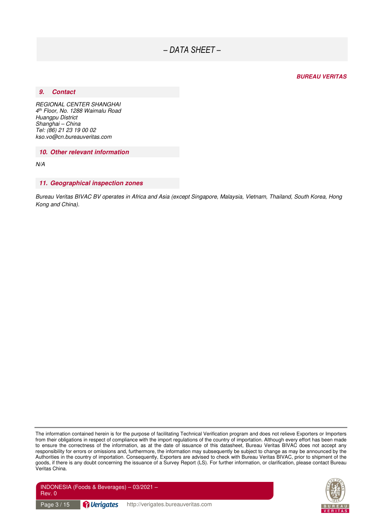#### **BUREAU VERITAS**

#### **9. Contact**

*REGIONAL CENTER SHANGHAI 4 th Floor, No. 1288 Waimalu Road Huangpu District Shanghai – China Tel: (86) 21 23 19 00 02 kso.vo@cn.bureauveritas.com* 

**10. Other relevant information** 

*N/A* 

#### **11. Geographical inspection zones**

*Bureau Veritas BIVAC BV operates in Africa and Asia (except Singapore, Malaysia, Vietnam, Thailand, South Korea, Hong Kong and China).* 

The information contained herein is for the purpose of facilitating Technical Verification program and does not relieve Exporters or Importers from their obligations in respect of compliance with the import regulations of the country of importation. Although every effort has been made to ensure the correctness of the information, as at the date of issuance of this datasheet, Bureau Veritas BIVAC does not accept any responsibility for errors or omissions and, furthermore, the information may subsequently be subject to change as may be announced by the Authorities in the country of importation. Consequently, Exporters are advised to check with Bureau Veritas BIVAC, prior to shipment of the goods, if there is any doubt concerning the issuance of a Survey Report (LS). For further information, or clarification, please contact Bureau Veritas China.



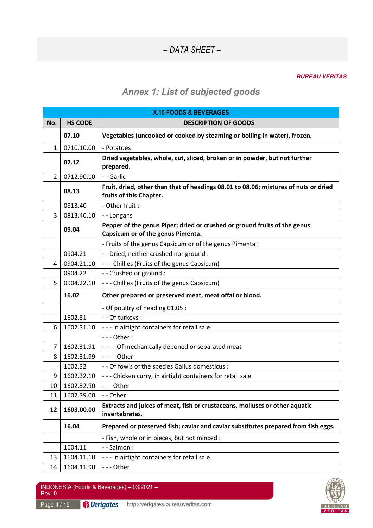#### **BUREAU VERITAS**

### *Annex 1: List of subjected goods*

|                 | X.15 FOODS & BEVERAGES |                                                                                                                |  |
|-----------------|------------------------|----------------------------------------------------------------------------------------------------------------|--|
| No.             | <b>HS CODE</b>         | <b>DESCRIPTION OF GOODS</b>                                                                                    |  |
|                 | 07.10                  | Vegetables (uncooked or cooked by steaming or boiling in water), frozen.                                       |  |
| 1               | 0710.10.00             | - Potatoes                                                                                                     |  |
|                 | 07.12                  | Dried vegetables, whole, cut, sliced, broken or in powder, but not further<br>prepared.                        |  |
| $\overline{2}$  | 0712.90.10             | - - Garlic                                                                                                     |  |
|                 | 08.13                  | Fruit, dried, other than that of headings 08.01 to 08.06; mixtures of nuts or dried<br>fruits of this Chapter. |  |
|                 | 0813.40                | - Other fruit :                                                                                                |  |
| 3               | 0813.40.10             | --Longans                                                                                                      |  |
|                 | 09.04                  | Pepper of the genus Piper; dried or crushed or ground fruits of the genus<br>Capsicum or of the genus Pimenta. |  |
|                 |                        | - Fruits of the genus Capsicum or of the genus Pimenta :                                                       |  |
|                 | 0904.21                | - - Dried, neither crushed nor ground :                                                                        |  |
| 4               | 0904.21.10             | --- Chillies (Fruits of the genus Capsicum)                                                                    |  |
|                 | 0904.22                | - - Crushed or ground :                                                                                        |  |
| 5               | 0904.22.10             | - - - Chillies (Fruits of the genus Capsicum)                                                                  |  |
|                 | 16.02                  | Other prepared or preserved meat, meat offal or blood.                                                         |  |
|                 |                        |                                                                                                                |  |
|                 |                        | - Of poultry of heading 01.05 :                                                                                |  |
|                 | 1602.31                | - - Of turkeys :                                                                                               |  |
| 6               | 1602.31.10             | --- In airtight containers for retail sale                                                                     |  |
|                 |                        | - - - Other :                                                                                                  |  |
| 7               | 1602.31.91             | ---- Of mechanically deboned or separated meat                                                                 |  |
| 8               | 1602.31.99             | - - - - Other                                                                                                  |  |
|                 | 1602.32                | - - Of fowls of the species Gallus domesticus :                                                                |  |
| 9               | 1602.32.10             | - - - Chicken curry, in airtight containers for retail sale                                                    |  |
| 10 <sup>°</sup> | 1602.32.90             | - - Other                                                                                                      |  |
| 11              | 1602.39.00             | -- Other                                                                                                       |  |
| 12              | 1603.00.00             | Extracts and juices of meat, fish or crustaceans, molluscs or other aquatic<br>invertebrates.                  |  |
|                 | 16.04                  | Prepared or preserved fish; caviar and caviar substitutes prepared from fish eggs.                             |  |
|                 |                        | - Fish, whole or in pieces, but not minced :                                                                   |  |
|                 | 1604.11                | - - Salmon :                                                                                                   |  |
| 13              | 1604.11.10             | --- In airtight containers for retail sale                                                                     |  |

Page 4 / 15 **Perigates** http://verigates.bureauveritas.com

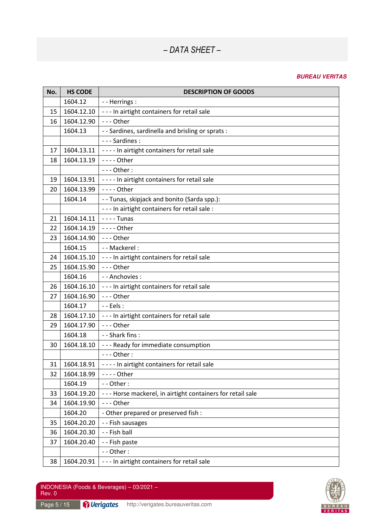| No. | <b>HS CODE</b> | <b>DESCRIPTION OF GOODS</b>                                |
|-----|----------------|------------------------------------------------------------|
|     | 1604.12        | - - Herrings :                                             |
| 15  | 1604.12.10     | --- In airtight containers for retail sale                 |
| 16  | 1604.12.90     | --- Other                                                  |
|     | 1604.13        | - - Sardines, sardinella and brisling or sprats :          |
|     |                | - - - Sardines :                                           |
| 17  | 1604.13.11     | ---- In airtight containers for retail sale                |
| 18  | 1604.13.19     | - - - - Other                                              |
|     |                | $--$ Other:                                                |
| 19  | 1604.13.91     | ---- In airtight containers for retail sale                |
| 20  | 1604.13.99     | - - - - Other                                              |
|     | 1604.14        | - - Tunas, skipjack and bonito (Sarda spp.):               |
|     |                | - - - In airtight containers for retail sale :             |
| 21  | 1604.14.11     | $--$ - Tunas                                               |
| 22  | 1604.14.19     | - - - - Other                                              |
| 23  | 1604.14.90     | $--$ Other                                                 |
|     | 1604.15        | - - Mackerel :                                             |
| 24  | 1604.15.10     | --- In airtight containers for retail sale                 |
| 25  | 1604.15.90     | --- Other                                                  |
|     | 1604.16        | - - Anchovies :                                            |
| 26  | 1604.16.10     | --- In airtight containers for retail sale                 |
| 27  | 1604.16.90     | --- Other                                                  |
|     | 1604.17        | $-$ - Eels :                                               |
| 28  | 1604.17.10     | --- In airtight containers for retail sale                 |
| 29  | 1604.17.90     | --- Other                                                  |
|     | 1604.18        | - - Shark fins :                                           |
| 30  | 1604.18.10     | --- Ready for immediate consumption                        |
|     |                | $--$ Other:                                                |
| 31  | 1604.18.91     | ---- In airtight containers for retail sale                |
| 32  | 1604.18.99     | - - - - Other                                              |
|     | 1604.19        | - - Other:                                                 |
| 33  | 1604.19.20     | --- Horse mackerel, in airtight containers for retail sale |
| 34  | 1604.19.90     | --- Other                                                  |
|     | 1604.20        | - Other prepared or preserved fish :                       |
| 35  | 1604.20.20     | - - Fish sausages                                          |
| 36  | 1604.20.30     | - - Fish ball                                              |
| 37  | 1604.20.40     | - - Fish paste                                             |
|     |                | - - Other:                                                 |
| 38  | 1604.20.91     | --- In airtight containers for retail sale                 |

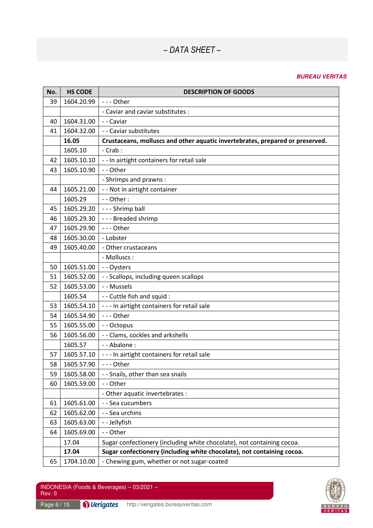| No. | <b>HS CODE</b> | <b>DESCRIPTION OF GOODS</b>                                                   |
|-----|----------------|-------------------------------------------------------------------------------|
| 39  | 1604.20.99     | --- Other                                                                     |
|     |                | - Caviar and caviar substitutes :                                             |
| 40  | 1604.31.00     | -- Caviar                                                                     |
| 41  | 1604.32.00     | - - Caviar substitutes                                                        |
|     | 16.05          | Crustaceans, molluscs and other aquatic invertebrates, prepared or preserved. |
|     | 1605.10        | $-$ Crab :                                                                    |
| 42  | 1605.10.10     | - - In airtight containers for retail sale                                    |
| 43  | 1605.10.90     | -- Other                                                                      |
|     |                | - Shrimps and prawns :                                                        |
| 44  | 1605.21.00     | - - Not in airtight container                                                 |
|     | 1605.29        | - - Other:                                                                    |
| 45  | 1605.29.20     | --- Shrimp ball                                                               |
| 46  | 1605.29.30     | --- Breaded shrimp                                                            |
| 47  | 1605.29.90     | --- Other                                                                     |
| 48  | 1605.30.00     | - Lobster                                                                     |
| 49  | 1605.40.00     | - Other crustaceans                                                           |
|     |                | - Molluscs:                                                                   |
| 50  | 1605.51.00     | -- Oysters                                                                    |
| 51  | 1605.52.00     | - - Scallops, including queen scallops                                        |
| 52  | 1605.53.00     | - - Mussels                                                                   |
|     | 1605.54        | - - Cuttle fish and squid :                                                   |
| 53  | 1605.54.10     | --- In airtight containers for retail sale                                    |
| 54  | 1605.54.90     | --- Other                                                                     |
| 55  | 1605.55.00     | - - Octopus                                                                   |
| 56  | 1605.56.00     | - - Clams, cockles and arkshells                                              |
|     | 1605.57        | - - Abalone :                                                                 |
| 57  | 1605.57.10     | --- In airtight containers for retail sale                                    |
| 58  | 1605.57.90     | --- Other                                                                     |
| 59  | 1605.58.00     | - - Snails, other than sea snails                                             |
| 60  | 1605.59.00     | -- Other                                                                      |
|     |                | - Other aquatic invertebrates :                                               |
| 61  | 1605.61.00     | - - Sea cucumbers                                                             |
| 62  | 1605.62.00     | - - Sea urchins                                                               |
| 63  | 1605.63.00     | - - Jellyfish                                                                 |
| 64  | 1605.69.00     | - - Other                                                                     |
|     | 17.04          | Sugar confectionery (including white chocolate), not containing cocoa.        |
|     | 17.04          | Sugar confectionery (including white chocolate), not containing cocoa.        |
| 65  | 1704.10.00     | - Chewing gum, whether or not sugar-coated                                    |

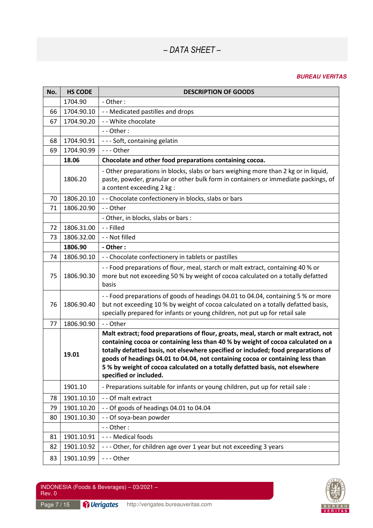| No. | <b>HS CODE</b> | <b>DESCRIPTION OF GOODS</b>                                                                                                                                                                                                                                                                                                                                                                                                                              |
|-----|----------------|----------------------------------------------------------------------------------------------------------------------------------------------------------------------------------------------------------------------------------------------------------------------------------------------------------------------------------------------------------------------------------------------------------------------------------------------------------|
|     | 1704.90        | - Other:                                                                                                                                                                                                                                                                                                                                                                                                                                                 |
| 66  | 1704.90.10     | - - Medicated pastilles and drops                                                                                                                                                                                                                                                                                                                                                                                                                        |
| 67  | 1704.90.20     | - - White chocolate                                                                                                                                                                                                                                                                                                                                                                                                                                      |
|     |                | $-$ - Other :                                                                                                                                                                                                                                                                                                                                                                                                                                            |
| 68  | 1704.90.91     | --- Soft, containing gelatin                                                                                                                                                                                                                                                                                                                                                                                                                             |
| 69  | 1704.90.99     | --- Other                                                                                                                                                                                                                                                                                                                                                                                                                                                |
|     | 18.06          | Chocolate and other food preparations containing cocoa.                                                                                                                                                                                                                                                                                                                                                                                                  |
|     | 1806.20        | - Other preparations in blocks, slabs or bars weighing more than 2 kg or in liquid,<br>paste, powder, granular or other bulk form in containers or immediate packings, of<br>a content exceeding 2 kg:                                                                                                                                                                                                                                                   |
| 70  | 1806.20.10     | - - Chocolate confectionery in blocks, slabs or bars                                                                                                                                                                                                                                                                                                                                                                                                     |
| 71  | 1806.20.90     | - - Other                                                                                                                                                                                                                                                                                                                                                                                                                                                |
|     |                | - Other, in blocks, slabs or bars :                                                                                                                                                                                                                                                                                                                                                                                                                      |
| 72  | 1806.31.00     | - - Filled                                                                                                                                                                                                                                                                                                                                                                                                                                               |
| 73  | 1806.32.00     | - - Not filled                                                                                                                                                                                                                                                                                                                                                                                                                                           |
|     | 1806.90        | - Other:                                                                                                                                                                                                                                                                                                                                                                                                                                                 |
| 74  | 1806.90.10     | - - Chocolate confectionery in tablets or pastilles                                                                                                                                                                                                                                                                                                                                                                                                      |
| 75  | 1806.90.30     | -- Food preparations of flour, meal, starch or malt extract, containing 40 % or<br>more but not exceeding 50 % by weight of cocoa calculated on a totally defatted<br>basis                                                                                                                                                                                                                                                                              |
| 76  | 1806.90.40     | -- Food preparations of goods of headings 04.01 to 04.04, containing 5 % or more<br>but not exceeding 10 % by weight of cocoa calculated on a totally defatted basis,<br>specially prepared for infants or young children, not put up for retail sale                                                                                                                                                                                                    |
| 77  | 1806.90.90     | -- Other                                                                                                                                                                                                                                                                                                                                                                                                                                                 |
|     | 19.01          | Malt extract; food preparations of flour, groats, meal, starch or malt extract, not<br>containing cocoa or containing less than 40 % by weight of cocoa calculated on a<br>totally defatted basis, not elsewhere specified or included; food preparations of<br>goods of headings 04.01 to 04.04, not containing cocoa or containing less than<br>5 % by weight of cocoa calculated on a totally defatted basis, not elsewhere<br>specified or included. |
|     | 1901.10        | - Preparations suitable for infants or young children, put up for retail sale :                                                                                                                                                                                                                                                                                                                                                                          |
| 78  | 1901.10.10     | - - Of malt extract                                                                                                                                                                                                                                                                                                                                                                                                                                      |
| 79  | 1901.10.20     | - - Of goods of headings 04.01 to 04.04                                                                                                                                                                                                                                                                                                                                                                                                                  |
| 80  | 1901.10.30     | - - Of soya-bean powder                                                                                                                                                                                                                                                                                                                                                                                                                                  |
|     |                | - - Other:                                                                                                                                                                                                                                                                                                                                                                                                                                               |
| 81  | 1901.10.91     | --- Medical foods                                                                                                                                                                                                                                                                                                                                                                                                                                        |
| 82  | 1901.10.92     | --- Other, for children age over 1 year but not exceeding 3 years                                                                                                                                                                                                                                                                                                                                                                                        |
| 83  | 1901.10.99     | --- Other                                                                                                                                                                                                                                                                                                                                                                                                                                                |

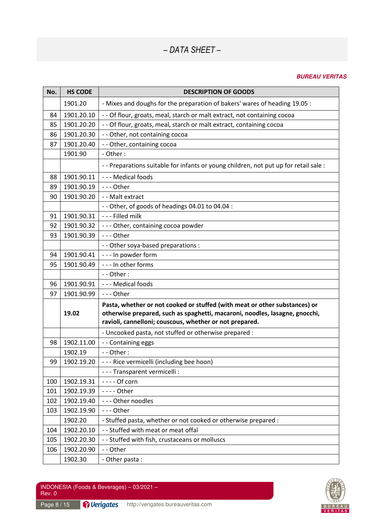| No. | <b>HS CODE</b> | <b>DESCRIPTION OF GOODS</b>                                                                                                                                                                                          |
|-----|----------------|----------------------------------------------------------------------------------------------------------------------------------------------------------------------------------------------------------------------|
|     | 1901.20        | - Mixes and doughs for the preparation of bakers' wares of heading 19.05 :                                                                                                                                           |
| 84  | 1901.20.10     | - - Of flour, groats, meal, starch or malt extract, not containing cocoa                                                                                                                                             |
| 85  | 1901.20.20     | - - Of flour, groats, meal, starch or malt extract, containing cocoa                                                                                                                                                 |
| 86  | 1901.20.30     | - - Other, not containing cocoa                                                                                                                                                                                      |
| 87  | 1901.20.40     | - - Other, containing cocoa                                                                                                                                                                                          |
|     | 1901.90        | - Other:                                                                                                                                                                                                             |
|     |                | - - Preparations suitable for infants or young children, not put up for retail sale :                                                                                                                                |
| 88  | 1901.90.11     | - - - Medical foods                                                                                                                                                                                                  |
| 89  | 1901.90.19     | $--$ Other                                                                                                                                                                                                           |
| 90  | 1901.90.20     | - - Malt extract                                                                                                                                                                                                     |
|     |                | - - Other, of goods of headings 04.01 to 04.04 :                                                                                                                                                                     |
| 91  | 1901.90.31     | --- Filled milk                                                                                                                                                                                                      |
| 92  | 1901.90.32     | --- Other, containing cocoa powder                                                                                                                                                                                   |
| 93  | 1901.90.39     | $--$ Other                                                                                                                                                                                                           |
|     |                | - - Other soya-based preparations :                                                                                                                                                                                  |
| 94  | 1901.90.41     | --- In powder form                                                                                                                                                                                                   |
| 95  | 1901.90.49     | - - - In other forms                                                                                                                                                                                                 |
|     |                | $-$ - Other :                                                                                                                                                                                                        |
| 96  | 1901.90.91     | - - - Medical foods                                                                                                                                                                                                  |
| 97  | 1901.90.99     | --- Other                                                                                                                                                                                                            |
|     | 19.02          | Pasta, whether or not cooked or stuffed (with meat or other substances) or<br>otherwise prepared, such as spaghetti, macaroni, noodles, lasagne, gnocchi,<br>ravioli, cannelloni; couscous, whether or not prepared. |
|     |                | - Uncooked pasta, not stuffed or otherwise prepared :                                                                                                                                                                |
| 98  | 1902.11.00     | - - Containing eggs                                                                                                                                                                                                  |
|     | 1902.19        | $-$ - Other :                                                                                                                                                                                                        |
| 99  | 1902.19.20     | --- Rice vermicelli (including bee hoon)                                                                                                                                                                             |
|     |                | - - - Transparent vermicelli :                                                                                                                                                                                       |
| 100 | 1902.19.31     | $---$ Of corn                                                                                                                                                                                                        |
| 101 | 1902.19.39     | - - - - Other                                                                                                                                                                                                        |
| 102 | 1902.19.40     | --- Other noodles                                                                                                                                                                                                    |
| 103 | 1902.19.90     | --- Other                                                                                                                                                                                                            |
|     | 1902.20        | - Stuffed pasta, whether or not cooked or otherwise prepared :                                                                                                                                                       |
| 104 | 1902.20.10     | - - Stuffed with meat or meat offal                                                                                                                                                                                  |
| 105 | 1902.20.30     | - - Stuffed with fish, crustaceans or molluscs                                                                                                                                                                       |
| 106 | 1902.20.90     | -- Other                                                                                                                                                                                                             |
|     | 1902.30        | - Other pasta:                                                                                                                                                                                                       |

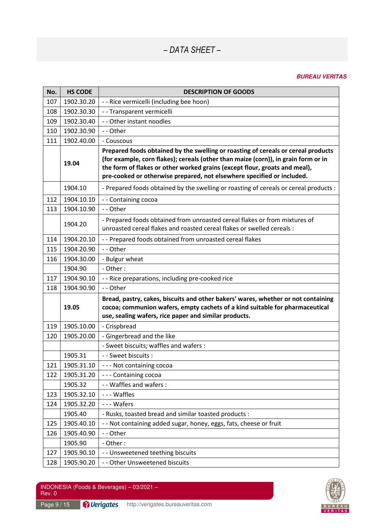| No. | <b>HS CODE</b> | <b>DESCRIPTION OF GOODS</b>                                                                                                                                                                                                                                                                                                     |
|-----|----------------|---------------------------------------------------------------------------------------------------------------------------------------------------------------------------------------------------------------------------------------------------------------------------------------------------------------------------------|
| 107 | 1902.30.20     | - - Rice vermicelli (including bee hoon)                                                                                                                                                                                                                                                                                        |
| 108 | 1902.30.30     | - - Transparent vermicelli                                                                                                                                                                                                                                                                                                      |
| 109 | 1902.30.40     | - - Other instant noodles                                                                                                                                                                                                                                                                                                       |
| 110 | 1902.30.90     | -- Other                                                                                                                                                                                                                                                                                                                        |
| 111 | 1902.40.00     | - Couscous                                                                                                                                                                                                                                                                                                                      |
|     | 19.04          | Prepared foods obtained by the swelling or roasting of cereals or cereal products<br>(for example, corn flakes); cereals (other than maize (corn)), in grain form or in<br>the form of flakes or other worked grains (except flour, groats and meal),<br>pre-cooked or otherwise prepared, not elsewhere specified or included. |
|     | 1904.10        | - Prepared foods obtained by the swelling or roasting of cereals or cereal products :                                                                                                                                                                                                                                           |
| 112 | 1904.10.10     | - - Containing cocoa                                                                                                                                                                                                                                                                                                            |
| 113 | 1904.10.90     | -- Other                                                                                                                                                                                                                                                                                                                        |
|     | 1904.20        | - Prepared foods obtained from unroasted cereal flakes or from mixtures of<br>unroasted cereal flakes and roasted cereal flakes or swelled cereals :                                                                                                                                                                            |
| 114 | 1904.20.10     | - - Prepared foods obtained from unroasted cereal flakes                                                                                                                                                                                                                                                                        |
| 115 | 1904.20.90     | -- Other                                                                                                                                                                                                                                                                                                                        |
| 116 | 1904.30.00     | - Bulgur wheat                                                                                                                                                                                                                                                                                                                  |
|     | 1904.90        | - Other:                                                                                                                                                                                                                                                                                                                        |
| 117 | 1904.90.10     | - - Rice preparations, including pre-cooked rice                                                                                                                                                                                                                                                                                |
| 118 | 1904.90.90     | -- Other                                                                                                                                                                                                                                                                                                                        |
|     | 19.05          | Bread, pastry, cakes, biscuits and other bakers' wares, whether or not containing<br>cocoa; communion wafers, empty cachets of a kind suitable for pharmaceutical<br>use, sealing wafers, rice paper and similar products.                                                                                                      |
| 119 | 1905.10.00     | - Crispbread                                                                                                                                                                                                                                                                                                                    |
| 120 | 1905.20.00     | - Gingerbread and the like                                                                                                                                                                                                                                                                                                      |
|     |                | - Sweet biscuits; waffles and wafers :                                                                                                                                                                                                                                                                                          |
|     | 1905.31        | - - Sweet biscuits :                                                                                                                                                                                                                                                                                                            |
| 121 | 1905.31.10     | --- Not containing cocoa                                                                                                                                                                                                                                                                                                        |
| 122 | 1905.31.20     | --- Containing cocoa                                                                                                                                                                                                                                                                                                            |
|     | 1905.32        | - - Waffles and wafers :                                                                                                                                                                                                                                                                                                        |
| 123 | 1905.32.10     | --- Waffles                                                                                                                                                                                                                                                                                                                     |
| 124 | 1905.32.20     | --- Wafers                                                                                                                                                                                                                                                                                                                      |
|     | 1905.40        | - Rusks, toasted bread and similar toasted products :                                                                                                                                                                                                                                                                           |
| 125 | 1905.40.10     | - - Not containing added sugar, honey, eggs, fats, cheese or fruit                                                                                                                                                                                                                                                              |
| 126 | 1905.40.90     | - - Other                                                                                                                                                                                                                                                                                                                       |
|     | 1905.90        | - Other:                                                                                                                                                                                                                                                                                                                        |
| 127 | 1905.90.10     | - - Unsweetened teething biscuits                                                                                                                                                                                                                                                                                               |
| 128 | 1905.90.20     | - - Other Unsweetened biscuits                                                                                                                                                                                                                                                                                                  |

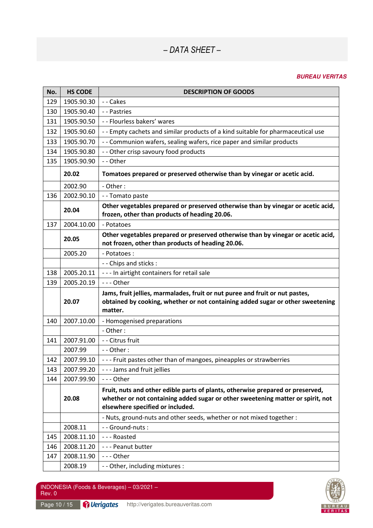| No. | <b>HS CODE</b> | <b>DESCRIPTION OF GOODS</b>                                                                                                                                                                           |
|-----|----------------|-------------------------------------------------------------------------------------------------------------------------------------------------------------------------------------------------------|
| 129 | 1905.90.30     | -- Cakes                                                                                                                                                                                              |
| 130 | 1905.90.40     | - - Pastries                                                                                                                                                                                          |
| 131 | 1905.90.50     | - - Flourless bakers' wares                                                                                                                                                                           |
| 132 | 1905.90.60     | -- Empty cachets and similar products of a kind suitable for pharmaceutical use                                                                                                                       |
| 133 | 1905.90.70     | - - Communion wafers, sealing wafers, rice paper and similar products                                                                                                                                 |
| 134 | 1905.90.80     | - - Other crisp savoury food products                                                                                                                                                                 |
| 135 | 1905.90.90     | -- Other                                                                                                                                                                                              |
|     | 20.02          | Tomatoes prepared or preserved otherwise than by vinegar or acetic acid.                                                                                                                              |
|     | 2002.90        | - Other:                                                                                                                                                                                              |
| 136 | 2002.90.10     | -- Tomato paste                                                                                                                                                                                       |
|     | 20.04          | Other vegetables prepared or preserved otherwise than by vinegar or acetic acid,<br>frozen, other than products of heading 20.06.                                                                     |
| 137 | 2004.10.00     | - Potatoes                                                                                                                                                                                            |
|     | 20.05          | Other vegetables prepared or preserved otherwise than by vinegar or acetic acid,<br>not frozen, other than products of heading 20.06.                                                                 |
|     | 2005.20        | - Potatoes:                                                                                                                                                                                           |
|     |                | - - Chips and sticks :                                                                                                                                                                                |
| 138 | 2005.20.11     | --- In airtight containers for retail sale                                                                                                                                                            |
| 139 | 2005.20.19     | --- Other                                                                                                                                                                                             |
|     | 20.07          | Jams, fruit jellies, marmalades, fruit or nut puree and fruit or nut pastes,<br>obtained by cooking, whether or not containing added sugar or other sweetening<br>matter.                             |
| 140 | 2007.10.00     | - Homogenised preparations                                                                                                                                                                            |
|     |                | - Other:                                                                                                                                                                                              |
| 141 | 2007.91.00     | - - Citrus fruit                                                                                                                                                                                      |
|     | 2007.99        | $-$ - Other :                                                                                                                                                                                         |
| 142 | 2007.99.10     | --- Fruit pastes other than of mangoes, pineapples or strawberries                                                                                                                                    |
| 143 | 2007.99.20     | --- Jams and fruit jellies                                                                                                                                                                            |
| 144 | 2007.99.90     | --- Other                                                                                                                                                                                             |
|     | 20.08          | Fruit, nuts and other edible parts of plants, otherwise prepared or preserved,<br>whether or not containing added sugar or other sweetening matter or spirit, not<br>elsewhere specified or included. |
|     |                | - Nuts, ground-nuts and other seeds, whether or not mixed together :                                                                                                                                  |
|     | 2008.11        | - - Ground-nuts :                                                                                                                                                                                     |
| 145 | 2008.11.10     | --- Roasted                                                                                                                                                                                           |
| 146 | 2008.11.20     | --- Peanut butter                                                                                                                                                                                     |
| 147 | 2008.11.90     | --- Other                                                                                                                                                                                             |
|     | 2008.19        | - - Other, including mixtures :                                                                                                                                                                       |

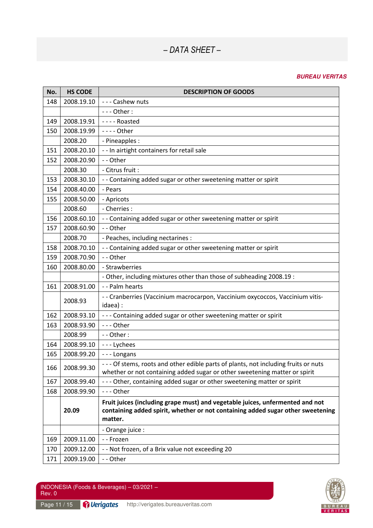| No. | <b>HS CODE</b> | <b>DESCRIPTION OF GOODS</b>                                                                                                                                                 |
|-----|----------------|-----------------------------------------------------------------------------------------------------------------------------------------------------------------------------|
| 148 | 2008.19.10     | --- Cashew nuts                                                                                                                                                             |
|     |                | $--$ Other:                                                                                                                                                                 |
| 149 | 2008.19.91     | ---- Roasted                                                                                                                                                                |
| 150 | 2008.19.99     | - - - - Other                                                                                                                                                               |
|     | 2008.20        | - Pineapples :                                                                                                                                                              |
| 151 | 2008.20.10     | - - In airtight containers for retail sale                                                                                                                                  |
| 152 | 2008.20.90     | - - Other                                                                                                                                                                   |
|     | 2008.30        | - Citrus fruit :                                                                                                                                                            |
| 153 | 2008.30.10     | - - Containing added sugar or other sweetening matter or spirit                                                                                                             |
| 154 | 2008.40.00     | - Pears                                                                                                                                                                     |
| 155 | 2008.50.00     | - Apricots                                                                                                                                                                  |
|     | 2008.60        | - Cherries :                                                                                                                                                                |
| 156 | 2008.60.10     | - - Containing added sugar or other sweetening matter or spirit                                                                                                             |
| 157 | 2008.60.90     | -- Other                                                                                                                                                                    |
|     | 2008.70        | - Peaches, including nectarines :                                                                                                                                           |
| 158 | 2008.70.10     | - - Containing added sugar or other sweetening matter or spirit                                                                                                             |
| 159 | 2008.70.90     | - - Other                                                                                                                                                                   |
| 160 | 2008.80.00     | - Strawberries                                                                                                                                                              |
|     |                | - Other, including mixtures other than those of subheading 2008.19 :                                                                                                        |
| 161 | 2008.91.00     | - - Palm hearts                                                                                                                                                             |
|     | 2008.93        | - - Cranberries (Vaccinium macrocarpon, Vaccinium oxycoccos, Vaccinium vitis-<br>idaea):                                                                                    |
| 162 | 2008.93.10     | --- Containing added sugar or other sweetening matter or spirit                                                                                                             |
| 163 | 2008.93.90     | --- Other                                                                                                                                                                   |
|     | 2008.99        | - - Other:                                                                                                                                                                  |
| 164 | 2008.99.10     | --- Lychees                                                                                                                                                                 |
| 165 | 2008.99.20     | --- Longans                                                                                                                                                                 |
| 166 | 2008.99.30     | --- Of stems, roots and other edible parts of plants, not including fruits or nuts<br>whether or not containing added sugar or other sweetening matter or spirit            |
| 167 | 2008.99.40     | --- Other, containing added sugar or other sweetening matter or spirit                                                                                                      |
| 168 | 2008.99.90     | --- Other                                                                                                                                                                   |
|     | 20.09          | Fruit juices (including grape must) and vegetable juices, unfermented and not<br>containing added spirit, whether or not containing added sugar other sweetening<br>matter. |
|     |                | - Orange juice :                                                                                                                                                            |
| 169 | 2009.11.00     | - - Frozen                                                                                                                                                                  |
| 170 | 2009.12.00     | - - Not frozen, of a Brix value not exceeding 20                                                                                                                            |
| 171 | 2009.19.00     | -- Other                                                                                                                                                                    |

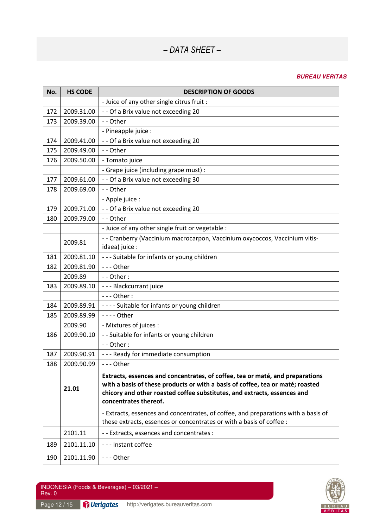| No. | <b>HS CODE</b> | <b>DESCRIPTION OF GOODS</b>                                                                                                                                                                                                                                          |
|-----|----------------|----------------------------------------------------------------------------------------------------------------------------------------------------------------------------------------------------------------------------------------------------------------------|
|     |                | - Juice of any other single citrus fruit :                                                                                                                                                                                                                           |
| 172 | 2009.31.00     | - - Of a Brix value not exceeding 20                                                                                                                                                                                                                                 |
| 173 | 2009.39.00     | -- Other                                                                                                                                                                                                                                                             |
|     |                | - Pineapple juice :                                                                                                                                                                                                                                                  |
| 174 | 2009.41.00     | - - Of a Brix value not exceeding 20                                                                                                                                                                                                                                 |
| 175 | 2009.49.00     | -- Other                                                                                                                                                                                                                                                             |
| 176 | 2009.50.00     | - Tomato juice                                                                                                                                                                                                                                                       |
|     |                | - Grape juice (including grape must) :                                                                                                                                                                                                                               |
| 177 | 2009.61.00     | - - Of a Brix value not exceeding 30                                                                                                                                                                                                                                 |
| 178 | 2009.69.00     | -- Other                                                                                                                                                                                                                                                             |
|     |                | - Apple juice :                                                                                                                                                                                                                                                      |
| 179 | 2009.71.00     | - - Of a Brix value not exceeding 20                                                                                                                                                                                                                                 |
| 180 | 2009.79.00     | -- Other                                                                                                                                                                                                                                                             |
|     |                | - Juice of any other single fruit or vegetable :                                                                                                                                                                                                                     |
|     | 2009.81        | - - Cranberry (Vaccinium macrocarpon, Vaccinium oxycoccos, Vaccinium vitis-                                                                                                                                                                                          |
|     |                | idaea) juice :                                                                                                                                                                                                                                                       |
| 181 | 2009.81.10     | --- Suitable for infants or young children                                                                                                                                                                                                                           |
| 182 | 2009.81.90     | --- Other                                                                                                                                                                                                                                                            |
|     | 2009.89        | - - Other:                                                                                                                                                                                                                                                           |
| 183 | 2009.89.10     | - - - Blackcurrant juice                                                                                                                                                                                                                                             |
|     |                | - - - Other :                                                                                                                                                                                                                                                        |
| 184 | 2009.89.91     | ---- Suitable for infants or young children                                                                                                                                                                                                                          |
| 185 | 2009.89.99     | - - - - Other                                                                                                                                                                                                                                                        |
|     | 2009.90        | - Mixtures of juices :                                                                                                                                                                                                                                               |
| 186 | 2009.90.10     | - - Suitable for infants or young children                                                                                                                                                                                                                           |
|     |                | $-$ - Other :                                                                                                                                                                                                                                                        |
| 187 | 2009.90.91     | --- Ready for immediate consumption                                                                                                                                                                                                                                  |
| 188 | 2009.90.99     | --- Other                                                                                                                                                                                                                                                            |
|     | 21.01          | Extracts, essences and concentrates, of coffee, tea or maté, and preparations<br>with a basis of these products or with a basis of coffee, tea or maté; roasted<br>chicory and other roasted coffee substitutes, and extracts, essences and<br>concentrates thereof. |
|     |                | - Extracts, essences and concentrates, of coffee, and preparations with a basis of<br>these extracts, essences or concentrates or with a basis of coffee :                                                                                                           |
|     | 2101.11        | - - Extracts, essences and concentrates :                                                                                                                                                                                                                            |
| 189 | 2101.11.10     | --- Instant coffee                                                                                                                                                                                                                                                   |
| 190 | 2101.11.90     | --- Other                                                                                                                                                                                                                                                            |

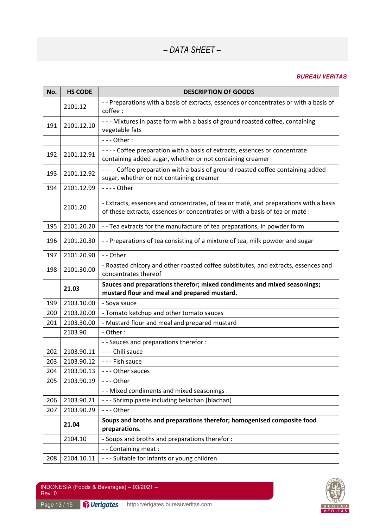| No. | <b>HS CODE</b> | <b>DESCRIPTION OF GOODS</b>                                                                                                                                          |
|-----|----------------|----------------------------------------------------------------------------------------------------------------------------------------------------------------------|
|     | 2101.12        | - - Preparations with a basis of extracts, essences or concentrates or with a basis of<br>coffee:                                                                    |
| 191 | 2101.12.10     | --- Mixtures in paste form with a basis of ground roasted coffee, containing<br>vegetable fats                                                                       |
|     |                | $--$ Other:                                                                                                                                                          |
| 192 | 2101.12.91     | ---- Coffee preparation with a basis of extracts, essences or concentrate<br>containing added sugar, whether or not containing creamer                               |
| 193 | 2101.12.92     | ---- Coffee preparation with a basis of ground roasted coffee containing added<br>sugar, whether or not containing creamer                                           |
| 194 | 2101.12.99     | - - - - Other                                                                                                                                                        |
|     | 2101.20        | - Extracts, essences and concentrates, of tea or maté, and preparations with a basis<br>of these extracts, essences or concentrates or with a basis of tea or maté : |
| 195 | 2101.20.20     | -- Tea extracts for the manufacture of tea preparations, in powder form                                                                                              |
| 196 | 2101.20.30     | -- Preparations of tea consisting of a mixture of tea, milk powder and sugar                                                                                         |
| 197 | 2101.20.90     | -- Other                                                                                                                                                             |
| 198 | 2101.30.00     | - Roasted chicory and other roasted coffee substitutes, and extracts, essences and<br>concentrates thereof                                                           |
|     | 21.03          | Sauces and preparations therefor; mixed condiments and mixed seasonings;<br>mustard flour and meal and prepared mustard.                                             |
| 199 | 2103.10.00     | - Soya sauce                                                                                                                                                         |
| 200 | 2103.20.00     | - Tomato ketchup and other tomato sauces                                                                                                                             |
| 201 | 2103.30.00     | - Mustard flour and meal and prepared mustard                                                                                                                        |
|     | 2103.90        | - Other:                                                                                                                                                             |
|     |                | - - Sauces and preparations therefor :                                                                                                                               |
| 202 | 2103.90.11     | - - - Chili sauce                                                                                                                                                    |
| 203 | 2103.90.12     | --- Fish sauce                                                                                                                                                       |
| 204 | 2103.90.13     | --- Other sauces                                                                                                                                                     |
| 205 | 2103.90.19     | --- Other                                                                                                                                                            |
|     |                | - - Mixed condiments and mixed seasonings :                                                                                                                          |
| 206 | 2103.90.21     | --- Shrimp paste including belachan (blachan)                                                                                                                        |
| 207 | 2103.90.29     | --- Other                                                                                                                                                            |
|     | 21.04          | Soups and broths and preparations therefor; homogenised composite food<br>preparations.                                                                              |
|     | 2104.10        | - Soups and broths and preparations therefor:                                                                                                                        |
|     |                | - - Containing meat :                                                                                                                                                |
| 208 | 2104.10.11     | --- Suitable for infants or young children                                                                                                                           |

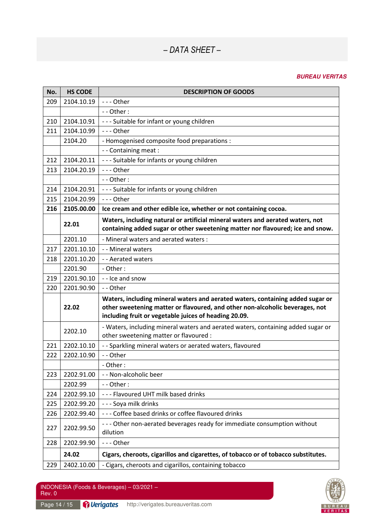### **BUREAU VERITAS**

| No. | <b>HS CODE</b> | <b>DESCRIPTION OF GOODS</b>                                                                                                                                                                                             |
|-----|----------------|-------------------------------------------------------------------------------------------------------------------------------------------------------------------------------------------------------------------------|
| 209 | 2104.10.19     | $--$ Other                                                                                                                                                                                                              |
|     |                | - - Other:                                                                                                                                                                                                              |
| 210 | 2104.10.91     | --- Suitable for infant or young children                                                                                                                                                                               |
| 211 | 2104.10.99     | --- Other                                                                                                                                                                                                               |
|     | 2104.20        | - Homogenised composite food preparations :                                                                                                                                                                             |
|     |                | - - Containing meat :                                                                                                                                                                                                   |
| 212 | 2104.20.11     | --- Suitable for infants or young children                                                                                                                                                                              |
| 213 | 2104.20.19     | $--$ Other                                                                                                                                                                                                              |
|     |                | $-$ - Other :                                                                                                                                                                                                           |
| 214 | 2104.20.91     | --- Suitable for infants or young children                                                                                                                                                                              |
| 215 | 2104.20.99     | --- Other                                                                                                                                                                                                               |
| 216 | 2105.00.00     | Ice cream and other edible ice, whether or not containing cocoa.                                                                                                                                                        |
|     | 22.01          | Waters, including natural or artificial mineral waters and aerated waters, not<br>containing added sugar or other sweetening matter nor flavoured; ice and snow.                                                        |
|     | 2201.10        | - Mineral waters and aerated waters:                                                                                                                                                                                    |
| 217 | 2201.10.10     | - - Mineral waters                                                                                                                                                                                                      |
| 218 | 2201.10.20     | - - Aerated waters                                                                                                                                                                                                      |
|     | 2201.90        | - Other:                                                                                                                                                                                                                |
| 219 | 2201.90.10     | - - Ice and snow                                                                                                                                                                                                        |
| 220 | 2201.90.90     | -- Other                                                                                                                                                                                                                |
|     | 22.02          | Waters, including mineral waters and aerated waters, containing added sugar or<br>other sweetening matter or flavoured, and other non-alcoholic beverages, not<br>including fruit or vegetable juices of heading 20.09. |
|     | 2202.10        | - Waters, including mineral waters and aerated waters, containing added sugar or<br>other sweetening matter or flavoured :                                                                                              |
| 221 | 2202.10.10     | - - Sparkling mineral waters or aerated waters, flavoured                                                                                                                                                               |
| 222 | 2202.10.90     | -- Other                                                                                                                                                                                                                |
|     |                | Other:                                                                                                                                                                                                                  |
| 223 | 2202.91.00     | - - Non-alcoholic beer                                                                                                                                                                                                  |
|     | 2202.99        | - - Other:                                                                                                                                                                                                              |
| 224 | 2202.99.10     | --- Flavoured UHT milk based drinks                                                                                                                                                                                     |
| 225 | 2202.99.20     | --- Soya milk drinks                                                                                                                                                                                                    |
| 226 | 2202.99.40     | --- Coffee based drinks or coffee flavoured drinks                                                                                                                                                                      |
| 227 | 2202.99.50     | --- Other non-aerated beverages ready for immediate consumption without<br>dilution                                                                                                                                     |
| 228 | 2202.99.90     | --- Other                                                                                                                                                                                                               |
|     | 24.02          | Cigars, cheroots, cigarillos and cigarettes, of tobacco or of tobacco substitutes.                                                                                                                                      |
| 229 | 2402.10.00     | - Cigars, cheroots and cigarillos, containing tobacco                                                                                                                                                                   |





Page 14 / 15 **Derigates** http://verigates.bureauveritas.com